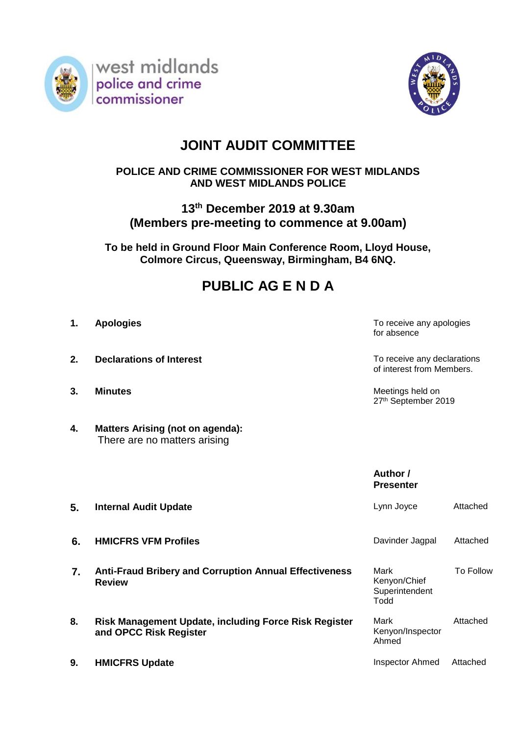



# **JOINT AUDIT COMMITTEE**

### **POLICE AND CRIME COMMISSIONER FOR WEST MIDLANDS AND WEST MIDLANDS POLICE**

### **13th December 2019 at 9.30am (Members pre-meeting to commence at 9.00am)**

**To be held in Ground Floor Main Conference Room, Lloyd House, Colmore Circus, Queensway, Birmingham, B4 6NQ.**

## **PUBLIC AG E N D A**

- 
- **2. Declarations of Interest TO 2. Declarations of Interest TO 2. To receive any declarations**
- 
- **4. Matters Arising (not on agenda):** There are no matters arising

**1. Apologies 1. Apologies 1. Apologies 1. Apologies 1. Apologies** for absence

of interest from Members.

**3. Minutes** Meetings held on 27<sup>th</sup> September 2019

> **Author / Presenter**

| 5. | <b>Internal Audit Update</b>                                                           | Lynn Joyce                                     | Attached  |
|----|----------------------------------------------------------------------------------------|------------------------------------------------|-----------|
| 6. | <b>HMICFRS VFM Profiles</b>                                                            | Davinder Jagpal                                | Attached  |
| 7. | <b>Anti-Fraud Bribery and Corruption Annual Effectiveness</b><br><b>Review</b>         | Mark<br>Kenyon/Chief<br>Superintendent<br>Todd | To Follow |
| 8. | <b>Risk Management Update, including Force Risk Register</b><br>and OPCC Risk Register | Mark<br>Kenyon/Inspector<br>Ahmed              | Attached  |
| 9. | <b>HMICFRS Update</b>                                                                  | <b>Inspector Ahmed</b>                         | Attached  |